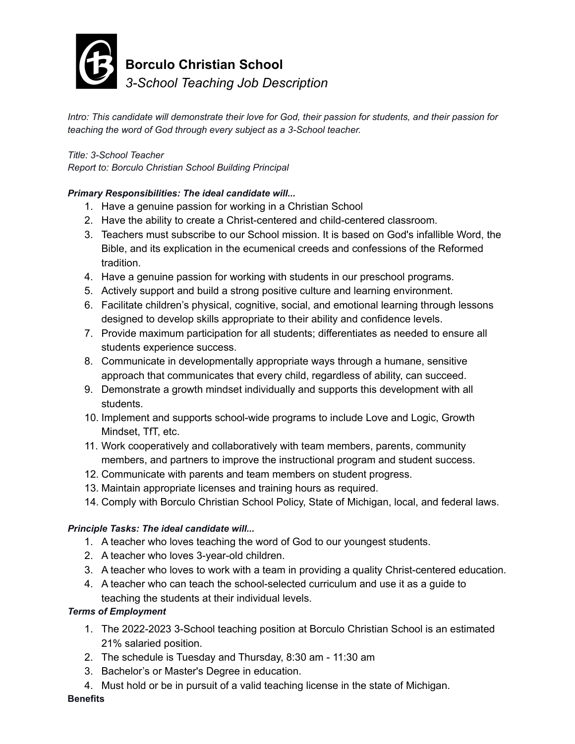

**Borculo Christian School**

*3-School Teaching Job Description*

Intro: This candidate will demonstrate their love for God, their passion for students, and their passion for *teaching the word of God through every subject as a 3-School teacher.*

### *Title: 3-School Teacher*

*Report to: Borculo Christian School Building Principal*

#### *Primary Responsibilities: The ideal candidate will...*

- 1. Have a genuine passion for working in a Christian School
- 2. Have the ability to create a Christ-centered and child-centered classroom.
- 3. Teachers must subscribe to our School mission. It is based on God's infallible Word, the Bible, and its explication in the ecumenical creeds and confessions of the Reformed tradition.
- 4. Have a genuine passion for working with students in our preschool programs.
- 5. Actively support and build a strong positive culture and learning environment.
- 6. Facilitate children's physical, cognitive, social, and emotional learning through lessons designed to develop skills appropriate to their ability and confidence levels.
- 7. Provide maximum participation for all students; differentiates as needed to ensure all students experience success.
- 8. Communicate in developmentally appropriate ways through a humane, sensitive approach that communicates that every child, regardless of ability, can succeed.
- 9. Demonstrate a growth mindset individually and supports this development with all students.
- 10. Implement and supports school-wide programs to include Love and Logic, Growth Mindset, TfT, etc.
- 11. Work cooperatively and collaboratively with team members, parents, community members, and partners to improve the instructional program and student success.
- 12. Communicate with parents and team members on student progress.
- 13. Maintain appropriate licenses and training hours as required.
- 14. Comply with Borculo Christian School Policy, State of Michigan, local, and federal laws.

# *Principle Tasks: The ideal candidate will...*

- 1. A teacher who loves teaching the word of God to our youngest students.
- 2. A teacher who loves 3-year-old children.
- 3. A teacher who loves to work with a team in providing a quality Christ-centered education.
- 4. A teacher who can teach the school-selected curriculum and use it as a guide to teaching the students at their individual levels.

# *Terms of Employment*

- 1. The 2022-2023 3-School teaching position at Borculo Christian School is an estimated 21% salaried position.
- 2. The schedule is Tuesday and Thursday, 8:30 am 11:30 am
- 3. Bachelor's or Master's Degree in education.
- 4. Must hold or be in pursuit of a valid teaching license in the state of Michigan.

#### **Benefits**